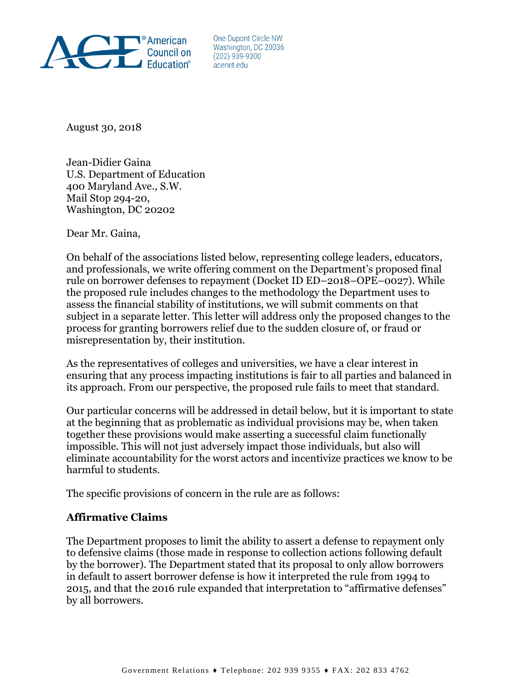

One Dupont Circle NW Washington, DC 20036  $(202)$  939-9300 acenet edu

August 30, 2018

Jean-Didier Gaina U.S. Department of Education 400 Maryland Ave., S.W. Mail Stop 294-20, Washington, DC 20202

Dear Mr. Gaina,

On behalf of the associations listed below, representing college leaders, educators, and professionals, we write offering comment on the Department's proposed final rule on borrower defenses to repayment (Docket ID ED–2018–OPE–0027). While the proposed rule includes changes to the methodology the Department uses to assess the financial stability of institutions, we will submit comments on that subject in a separate letter. This letter will address only the proposed changes to the process for granting borrowers relief due to the sudden closure of, or fraud or misrepresentation by, their institution.

As the representatives of colleges and universities, we have a clear interest in ensuring that any process impacting institutions is fair to all parties and balanced in its approach. From our perspective, the proposed rule fails to meet that standard.

Our particular concerns will be addressed in detail below, but it is important to state at the beginning that as problematic as individual provisions may be, when taken together these provisions would make asserting a successful claim functionally impossible. This will not just adversely impact those individuals, but also will eliminate accountability for the worst actors and incentivize practices we know to be harmful to students.

The specific provisions of concern in the rule are as follows:

### **Affirmative Claims**

The Department proposes to limit the ability to assert a defense to repayment only to defensive claims (those made in response to collection actions following default by the borrower). The Department stated that its proposal to only allow borrowers in default to assert borrower defense is how it interpreted the rule from 1994 to 2015, and that the 2016 rule expanded that interpretation to "affirmative defenses" by all borrowers.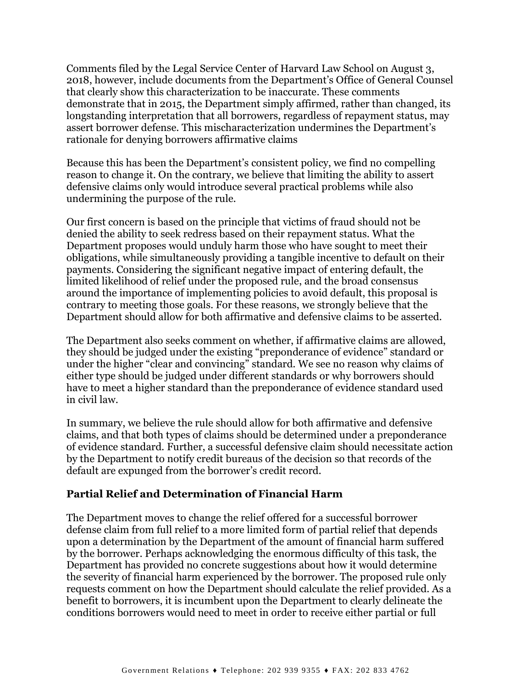Comments filed by the Legal Service Center of Harvard Law School on August 3, 2018, however, include documents from the Department's Office of General Counsel that clearly show this characterization to be inaccurate. These comments demonstrate that in 2015, the Department simply affirmed, rather than changed, its longstanding interpretation that all borrowers, regardless of repayment status, may assert borrower defense. This mischaracterization undermines the Department's rationale for denying borrowers affirmative claims

Because this has been the Department's consistent policy, we find no compelling reason to change it. On the contrary, we believe that limiting the ability to assert defensive claims only would introduce several practical problems while also undermining the purpose of the rule.

Our first concern is based on the principle that victims of fraud should not be denied the ability to seek redress based on their repayment status. What the Department proposes would unduly harm those who have sought to meet their obligations, while simultaneously providing a tangible incentive to default on their payments. Considering the significant negative impact of entering default, the limited likelihood of relief under the proposed rule, and the broad consensus around the importance of implementing policies to avoid default, this proposal is contrary to meeting those goals. For these reasons, we strongly believe that the Department should allow for both affirmative and defensive claims to be asserted.

The Department also seeks comment on whether, if affirmative claims are allowed, they should be judged under the existing "preponderance of evidence" standard or under the higher "clear and convincing" standard. We see no reason why claims of either type should be judged under different standards or why borrowers should have to meet a higher standard than the preponderance of evidence standard used in civil law.

In summary, we believe the rule should allow for both affirmative and defensive claims, and that both types of claims should be determined under a preponderance of evidence standard. Further, a successful defensive claim should necessitate action by the Department to notify credit bureaus of the decision so that records of the default are expunged from the borrower's credit record.

### **Partial Relief and Determination of Financial Harm**

The Department moves to change the relief offered for a successful borrower defense claim from full relief to a more limited form of partial relief that depends upon a determination by the Department of the amount of financial harm suffered by the borrower. Perhaps acknowledging the enormous difficulty of this task, the Department has provided no concrete suggestions about how it would determine the severity of financial harm experienced by the borrower. The proposed rule only requests comment on how the Department should calculate the relief provided. As a benefit to borrowers, it is incumbent upon the Department to clearly delineate the conditions borrowers would need to meet in order to receive either partial or full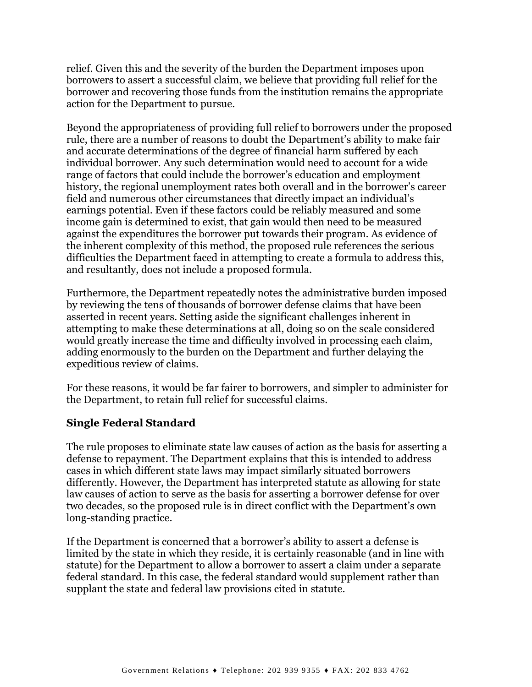relief. Given this and the severity of the burden the Department imposes upon borrowers to assert a successful claim, we believe that providing full relief for the borrower and recovering those funds from the institution remains the appropriate action for the Department to pursue.

Beyond the appropriateness of providing full relief to borrowers under the proposed rule, there are a number of reasons to doubt the Department's ability to make fair and accurate determinations of the degree of financial harm suffered by each individual borrower. Any such determination would need to account for a wide range of factors that could include the borrower's education and employment history, the regional unemployment rates both overall and in the borrower's career field and numerous other circumstances that directly impact an individual's earnings potential. Even if these factors could be reliably measured and some income gain is determined to exist, that gain would then need to be measured against the expenditures the borrower put towards their program. As evidence of the inherent complexity of this method, the proposed rule references the serious difficulties the Department faced in attempting to create a formula to address this, and resultantly, does not include a proposed formula.

Furthermore, the Department repeatedly notes the administrative burden imposed by reviewing the tens of thousands of borrower defense claims that have been asserted in recent years. Setting aside the significant challenges inherent in attempting to make these determinations at all, doing so on the scale considered would greatly increase the time and difficulty involved in processing each claim, adding enormously to the burden on the Department and further delaying the expeditious review of claims.

For these reasons, it would be far fairer to borrowers, and simpler to administer for the Department, to retain full relief for successful claims.

### **Single Federal Standard**

The rule proposes to eliminate state law causes of action as the basis for asserting a defense to repayment. The Department explains that this is intended to address cases in which different state laws may impact similarly situated borrowers differently. However, the Department has interpreted statute as allowing for state law causes of action to serve as the basis for asserting a borrower defense for over two decades, so the proposed rule is in direct conflict with the Department's own long-standing practice.

If the Department is concerned that a borrower's ability to assert a defense is limited by the state in which they reside, it is certainly reasonable (and in line with statute) for the Department to allow a borrower to assert a claim under a separate federal standard. In this case, the federal standard would supplement rather than supplant the state and federal law provisions cited in statute.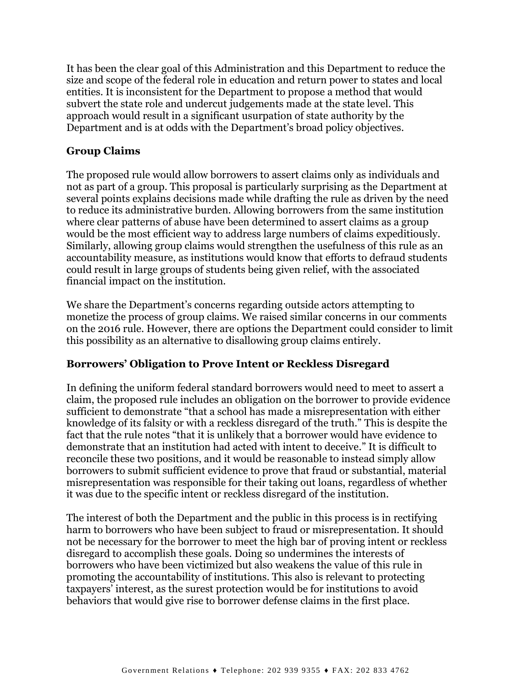It has been the clear goal of this Administration and this Department to reduce the size and scope of the federal role in education and return power to states and local entities. It is inconsistent for the Department to propose a method that would subvert the state role and undercut judgements made at the state level. This approach would result in a significant usurpation of state authority by the Department and is at odds with the Department's broad policy objectives.

# **Group Claims**

The proposed rule would allow borrowers to assert claims only as individuals and not as part of a group. This proposal is particularly surprising as the Department at several points explains decisions made while drafting the rule as driven by the need to reduce its administrative burden. Allowing borrowers from the same institution where clear patterns of abuse have been determined to assert claims as a group would be the most efficient way to address large numbers of claims expeditiously. Similarly, allowing group claims would strengthen the usefulness of this rule as an accountability measure, as institutions would know that efforts to defraud students could result in large groups of students being given relief, with the associated financial impact on the institution.

We share the Department's concerns regarding outside actors attempting to monetize the process of group claims. We raised similar concerns in our comments on the 2016 rule. However, there are options the Department could consider to limit this possibility as an alternative to disallowing group claims entirely.

### **Borrowers' Obligation to Prove Intent or Reckless Disregard**

In defining the uniform federal standard borrowers would need to meet to assert a claim, the proposed rule includes an obligation on the borrower to provide evidence sufficient to demonstrate "that a school has made a misrepresentation with either knowledge of its falsity or with a reckless disregard of the truth." This is despite the fact that the rule notes "that it is unlikely that a borrower would have evidence to demonstrate that an institution had acted with intent to deceive." It is difficult to reconcile these two positions, and it would be reasonable to instead simply allow borrowers to submit sufficient evidence to prove that fraud or substantial, material misrepresentation was responsible for their taking out loans, regardless of whether it was due to the specific intent or reckless disregard of the institution.

The interest of both the Department and the public in this process is in rectifying harm to borrowers who have been subject to fraud or misrepresentation. It should not be necessary for the borrower to meet the high bar of proving intent or reckless disregard to accomplish these goals. Doing so undermines the interests of borrowers who have been victimized but also weakens the value of this rule in promoting the accountability of institutions. This also is relevant to protecting taxpayers' interest, as the surest protection would be for institutions to avoid behaviors that would give rise to borrower defense claims in the first place.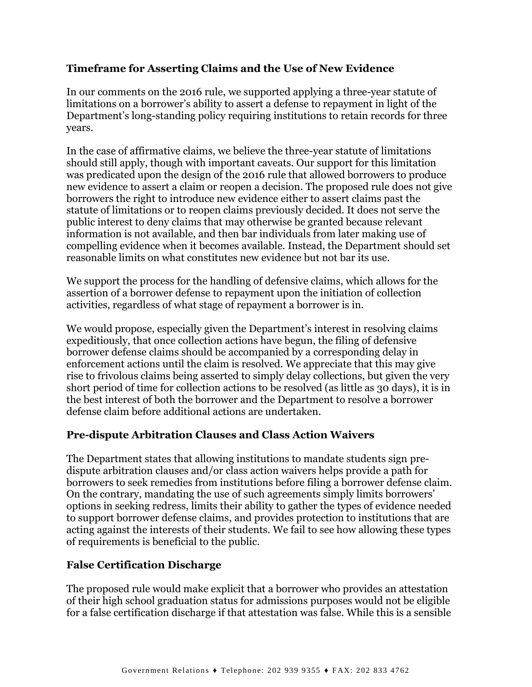## **Timeframe for Asserting Claims and the Use of New Evidence**

In our comments on the 2016 rule, we supported applying a three-year statute of limitations on a borrower's ability to assert a defense to repayment in light of the Department's long-standing policy requiring institutions to retain records for three years.

In the case of affirmative claims, we believe the three-year statute of limitations should still apply, though with important caveats. Our support for this limitation was predicated upon the design of the 2016 rule that allowed borrowers to produce new evidence to assert a claim or reopen a decision. The proposed rule does not give borrowers the right to introduce new evidence either to assert claims past the statute of limitations or to reopen claims previously decided. It does not serve the public interest to deny claims that may otherwise be granted because relevant information is not available, and then bar individuals from later making use of compelling evidence when it becomes available. Instead, the Department should set reasonable limits on what constitutes new evidence but not bar its use.

We support the process for the handling of defensive claims, which allows for the assertion of a borrower defense to repayment upon the initiation of collection activities, regardless of what stage of repayment a borrower is in.

We would propose, especially given the Department's interest in resolving claims expeditiously, that once collection actions have begun, the filing of defensive borrower defense claims should be accompanied by a corresponding delay in enforcement actions until the claim is resolved. We appreciate that this may give rise to frivolous claims being asserted to simply delay collections, but given the very short period of time for collection actions to be resolved (as little as 30 days), it is in the best interest of both the borrower and the Department to resolve a borrower defense claim before additional actions are undertaken.

### **Pre-dispute Arbitration Clauses and Class Action Waivers**

The Department states that allowing institutions to mandate students sign predispute arbitration clauses and/or class action waivers helps provide a path for borrowers to seek remedies from institutions before filing a borrower defense claim. On the contrary, mandating the use of such agreements simply limits borrowers' options in seeking redress, limits their ability to gather the types of evidence needed to support borrower defense claims, and provides protection to institutions that are acting against the interests of their students. We fail to see how allowing these types of requirements is beneficial to the public.

### **False Certification Discharge**

The proposed rule would make explicit that a borrower who provides an attestation of their high school graduation status for admissions purposes would not be eligible for a false certification discharge if that attestation was false. While this is a sensible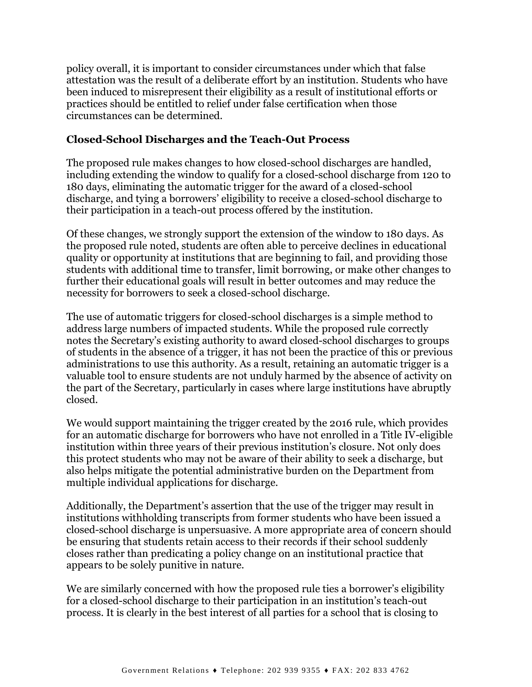policy overall, it is important to consider circumstances under which that false attestation was the result of a deliberate effort by an institution. Students who have been induced to misrepresent their eligibility as a result of institutional efforts or practices should be entitled to relief under false certification when those circumstances can be determined.

### **Closed-School Discharges and the Teach-Out Process**

The proposed rule makes changes to how closed-school discharges are handled, including extending the window to qualify for a closed-school discharge from 120 to 180 days, eliminating the automatic trigger for the award of a closed-school discharge, and tying a borrowers' eligibility to receive a closed-school discharge to their participation in a teach-out process offered by the institution.

Of these changes, we strongly support the extension of the window to 180 days. As the proposed rule noted, students are often able to perceive declines in educational quality or opportunity at institutions that are beginning to fail, and providing those students with additional time to transfer, limit borrowing, or make other changes to further their educational goals will result in better outcomes and may reduce the necessity for borrowers to seek a closed-school discharge.

The use of automatic triggers for closed-school discharges is a simple method to address large numbers of impacted students. While the proposed rule correctly notes the Secretary's existing authority to award closed-school discharges to groups of students in the absence of a trigger, it has not been the practice of this or previous administrations to use this authority. As a result, retaining an automatic trigger is a valuable tool to ensure students are not unduly harmed by the absence of activity on the part of the Secretary, particularly in cases where large institutions have abruptly closed.

We would support maintaining the trigger created by the 2016 rule, which provides for an automatic discharge for borrowers who have not enrolled in a Title IV-eligible institution within three years of their previous institution's closure. Not only does this protect students who may not be aware of their ability to seek a discharge, but also helps mitigate the potential administrative burden on the Department from multiple individual applications for discharge.

Additionally, the Department's assertion that the use of the trigger may result in institutions withholding transcripts from former students who have been issued a closed-school discharge is unpersuasive. A more appropriate area of concern should be ensuring that students retain access to their records if their school suddenly closes rather than predicating a policy change on an institutional practice that appears to be solely punitive in nature.

We are similarly concerned with how the proposed rule ties a borrower's eligibility for a closed-school discharge to their participation in an institution's teach-out process. It is clearly in the best interest of all parties for a school that is closing to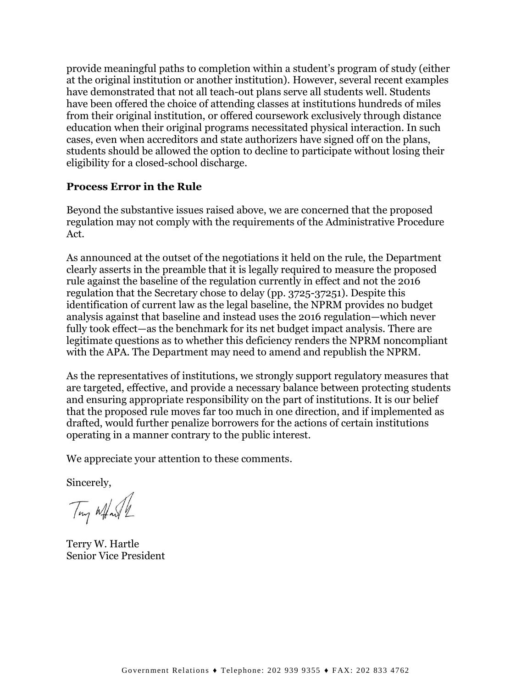provide meaningful paths to completion within a student's program of study (either at the original institution or another institution). However, several recent examples have demonstrated that not all teach-out plans serve all students well. Students have been offered the choice of attending classes at institutions hundreds of miles from their original institution, or offered coursework exclusively through distance education when their original programs necessitated physical interaction. In such cases, even when accreditors and state authorizers have signed off on the plans, students should be allowed the option to decline to participate without losing their eligibility for a closed-school discharge.

#### **Process Error in the Rule**

Beyond the substantive issues raised above, we are concerned that the proposed regulation may not comply with the requirements of the Administrative Procedure Act.

As announced at the outset of the negotiations it held on the rule, the Department clearly asserts in the preamble that it is legally required to measure the proposed rule against the baseline of the regulation currently in effect and not the 2016 regulation that the Secretary chose to delay (pp. 3725-37251). Despite this identification of current law as the legal baseline, the NPRM provides no budget analysis against that baseline and instead uses the 2016 regulation—which never fully took effect—as the benchmark for its net budget impact analysis. There are legitimate questions as to whether this deficiency renders the NPRM noncompliant with the APA. The Department may need to amend and republish the NPRM.

As the representatives of institutions, we strongly support regulatory measures that are targeted, effective, and provide a necessary balance between protecting students and ensuring appropriate responsibility on the part of institutions. It is our belief that the proposed rule moves far too much in one direction, and if implemented as drafted, would further penalize borrowers for the actions of certain institutions operating in a manner contrary to the public interest.

We appreciate your attention to these comments.

Sincerely,

Tony What

Terry W. Hartle Senior Vice President